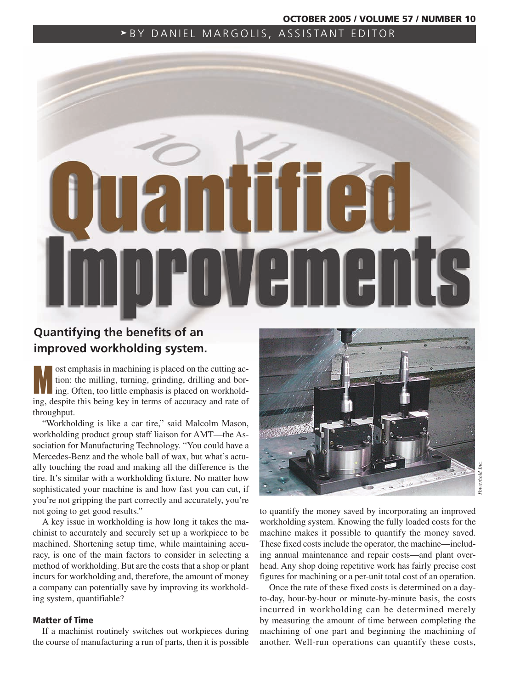### **OCTOBER 2005 / VOLUME 57 / NUMBER 10**

# BY DANIEL MARGOLIS, ASSISTANT EDITOR



# **Quantifying the benefits of an improved workholding system.**

**Most emphasis in machining is placed on the cutting action:** the milling, turning, grinding, drilling and boring. Often, too little emphasis is placed on workholdtion: the milling, turning, grinding, drilling and boring, despite this being key in terms of accuracy and rate of throughput.

"Workholding is like a car tire," said Malcolm Mason, workholding product group staff liaison for AMT—the Association for Manufacturing Technology. "You could have a Mercedes-Benz and the whole ball of wax, but what's actually touching the road and making all the difference is the tire. It's similar with a workholding fixture. No matter how sophisticated your machine is and how fast you can cut, if you're not gripping the part correctly and accurately, you're not going to get good results."

A key issue in workholding is how long it takes the machinist to accurately and securely set up a workpiece to be machined. Shortening setup time, while maintaining accuracy, is one of the main factors to consider in selecting a method of workholding. But are the costs that a shop or plant incurs for workholding and, therefore, the amount of money a company can potentially save by improving its workholding system, quantifiable?

### **Matter of Time**

If a machinist routinely switches out workpieces during the course of manufacturing a run of parts, then it is possible



to quantify the money saved by incorporating an improved workholding system. Knowing the fully loaded costs for the machine makes it possible to quantify the money saved. These fixed costs include the operator, the machine—including annual maintenance and repair costs—and plant overhead. Any shop doing repetitive work has fairly precise cost figures for machining or a per-unit total cost of an operation.

Once the rate of these fixed costs is determined on a dayto-day, hour-by-hour or minute-by-minute basis, the costs incurred in workholding can be determined merely by measuring the amount of time between completing the machining of one part and beginning the machining of another. Well-run operations can quantify these costs,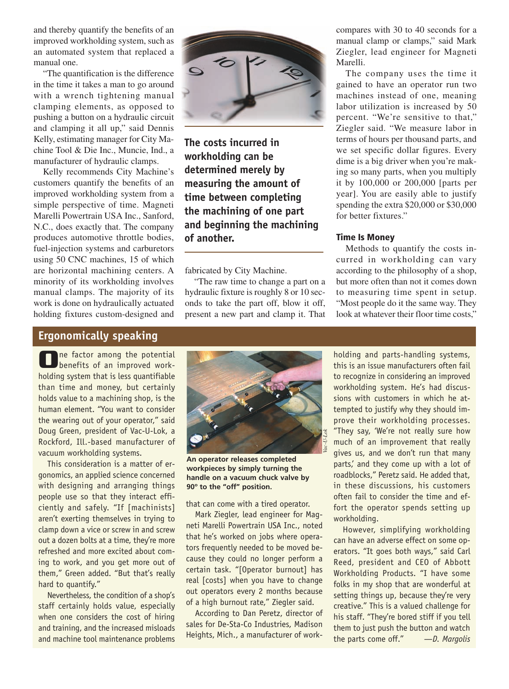and thereby quantify the benefits of an improved workholding system, such as an automated system that replaced a manual one.

"The quantification is the difference in the time it takes a man to go around with a wrench tightening manual clamping elements, as opposed to pushing a button on a hydraulic circuit and clamping it all up," said Dennis Kelly, estimating manager for City Machine Tool & Die Inc., Muncie, Ind., a manufacturer of hydraulic clamps.

Kelly recommends City Machine's customers quantify the benefits of an improved workholding system from a simple perspective of time. Magneti Marelli Powertrain USA Inc., Sanford, N.C., does exactly that. The company produces automotive throttle bodies, fuel-injection systems and carburetors using 50 CNC machines, 15 of which are horizontal machining centers. A minority of its workholding involves manual clamps. The majority of its work is done on hydraulically actuated holding fixtures custom-designed and



**The costs incurred in workholding can be determined merely by measuring the amount of time between completing the machining of one part and beginning the machining of another.**

fabricated by City Machine.

"The raw time to change a part on a hydraulic fixture is roughly 8 or 10 seconds to take the part off, blow it off, present a new part and clamp it. That compares with 30 to 40 seconds for a manual clamp or clamps," said Mark Ziegler, lead engineer for Magneti Marelli.

The company uses the time it gained to have an operator run two machines instead of one, meaning labor utilization is increased by 50 percent. "We're sensitive to that," Ziegler said. "We measure labor in terms of hours per thousand parts, and we set specific dollar figures. Every dime is a big driver when you're making so many parts, when you multiply it by 100,000 or 200,000 [parts per year]. You are easily able to justify spending the extra \$20,000 or \$30,000 for better fixtures."

# **Time Is Money**

Methods to quantify the costs incurred in workholding can vary according to the philosophy of a shop, but more often than not it comes down to measuring time spent in setup. "Most people do it the same way. They look at whatever their floor time costs,"

# **Ergonomically speaking**

**O**ne factor among the potential benefits of an improved workholding system that is less quantifiable than time and money, but certainly holds value to a machining shop, is the human element. "You want to consider the wearing out of your operator," said Doug Green, president of Vac-U-Lok, a Rockford, Ill.-based manufacturer of vacuum workholding systems.

This consideration is a matter of ergonomics, an applied science concerned with designing and arranging things people use so that they interact efficiently and safely. "If [machinists] aren't exerting themselves in trying to clamp down a vice or screw in and screw out a dozen bolts at a time, they're more refreshed and more excited about coming to work, and you get more out of them," Green added. "But that's really hard to quantify."

Nevertheless, the condition of a shop's staff certainly holds value, especially when one considers the cost of hiring and training, and the increased misloads and machine tool maintenance problems



**An operator releases completed workpieces by simply turning the handle on a vacuum chuck valve by 90º to the "off" position.**

that can come with a tired operator.

Mark Ziegler, lead engineer for Magneti Marelli Powertrain USA Inc., noted that he's worked on jobs where operators frequently needed to be moved because they could no longer perform a certain task. "[Operator burnout] has real [costs] when you have to change out operators every 2 months because of a high burnout rate," Ziegler said.

According to Dan Peretz, director of sales for De-Sta-Co Industries, Madison Heights, Mich., a manufacturer of workholding and parts-handling systems, this is an issue manufacturers often fail to recognize in considering an improved workholding system. He's had discussions with customers in which he attempted to justify why they should improve their workholding processes. "They say, 'We're not really sure how much of an improvement that really gives us, and we don't run that many parts,' and they come up with a lot of roadblocks," Peretz said. He added that, in these discussions, his customers often fail to consider the time and effort the operator spends setting up workholding.

However, simplifying workholding can have an adverse effect on some operators. "It goes both ways," said Carl Reed, president and CEO of Abbott Workholding Products. "I have some folks in my shop that are wonderful at setting things up, because they're very creative." This is a valued challenge for his staff. "They're bored stiff if you tell them to just push the button and watch the parts come off." —*D. Margolis*